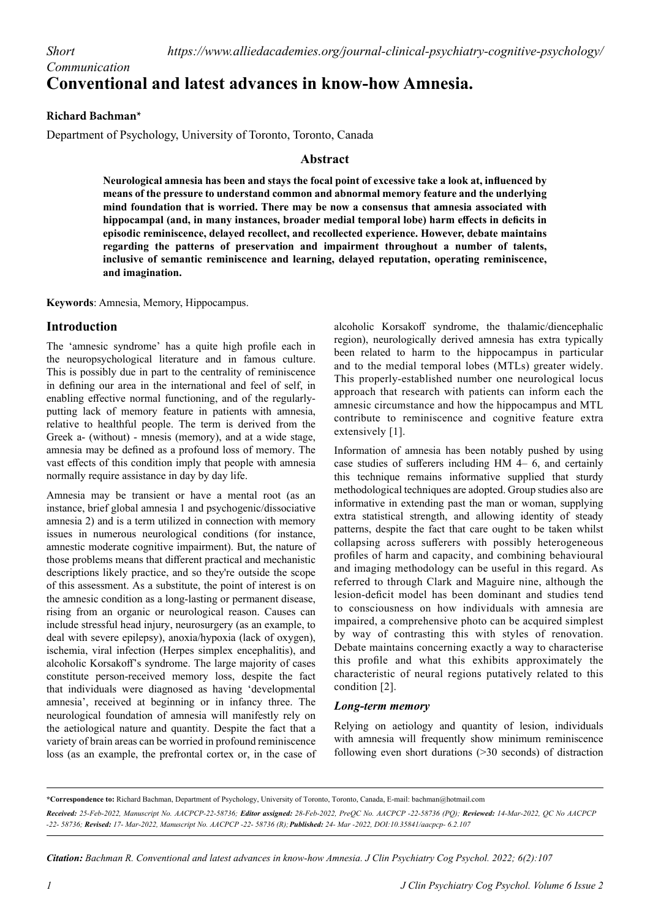# *Short Communication* **Conventional and latest advances in know-how Amnesia.**

## **Richard Bachman\***

Department of Psychology, University of Toronto, Toronto, Canada

### **Abstract**

**Neurological amnesia has been and stays the focal point of excessive take a look at, influenced by means of the pressure to understand common and abnormal memory feature and the underlying mind foundation that is worried. There may be now a consensus that amnesia associated with hippocampal (and, in many instances, broader medial temporal lobe) harm effects in deficits in episodic reminiscence, delayed recollect, and recollected experience. However, debate maintains regarding the patterns of preservation and impairment throughout a number of talents, inclusive of semantic reminiscence and learning, delayed reputation, operating reminiscence, and imagination.**

**Keywords**: Amnesia, Memory, Hippocampus.

#### **Introduction**

The 'amnesic syndrome' has a quite high profile each in the neuropsychological literature and in famous culture. This is possibly due in part to the centrality of reminiscence in defining our area in the international and feel of self, in enabling effective normal functioning, and of the regularlyputting lack of memory feature in patients with amnesia, relative to healthful people. The term is derived from the Greek a- (without) - mnesis (memory), and at a wide stage, amnesia may be defined as a profound loss of memory. The vast effects of this condition imply that people with amnesia normally require assistance in day by day life.

Amnesia may be transient or have a mental root (as an instance, brief global amnesia 1 and psychogenic/dissociative amnesia 2) and is a term utilized in connection with memory issues in numerous neurological conditions (for instance, amnestic moderate cognitive impairment). But, the nature of those problems means that different practical and mechanistic descriptions likely practice, and so they're outside the scope of this assessment. As a substitute, the point of interest is on the amnesic condition as a long-lasting or permanent disease, rising from an organic or neurological reason. Causes can include stressful head injury, neurosurgery (as an example, to deal with severe epilepsy), anoxia/hypoxia (lack of oxygen), ischemia, viral infection (Herpes simplex encephalitis), and alcoholic Korsakoff's syndrome. The large majority of cases constitute person-received memory loss, despite the fact that individuals were diagnosed as having 'developmental amnesia', received at beginning or in infancy three. The neurological foundation of amnesia will manifestly rely on the aetiological nature and quantity. Despite the fact that a variety of brain areas can be worried in profound reminiscence loss (as an example, the prefrontal cortex or, in the case of alcoholic Korsakoff syndrome, the thalamic/diencephalic region), neurologically derived amnesia has extra typically been related to harm to the hippocampus in particular and to the medial temporal lobes (MTLs) greater widely. This properly-established number one neurological locus approach that research with patients can inform each the amnesic circumstance and how the hippocampus and MTL contribute to reminiscence and cognitive feature extra extensively [1].

Information of amnesia has been notably pushed by using case studies of sufferers including HM 4– 6, and certainly this technique remains informative supplied that sturdy methodological techniques are adopted. Group studies also are informative in extending past the man or woman, supplying extra statistical strength, and allowing identity of steady patterns, despite the fact that care ought to be taken whilst collapsing across sufferers with possibly heterogeneous profiles of harm and capacity, and combining behavioural and imaging methodology can be useful in this regard. As referred to through Clark and Maguire nine, although the lesion-deficit model has been dominant and studies tend to consciousness on how individuals with amnesia are impaired, a comprehensive photo can be acquired simplest by way of contrasting this with styles of renovation. Debate maintains concerning exactly a way to characterise this profile and what this exhibits approximately the characteristic of neural regions putatively related to this condition [2].

#### *Long-term memory*

Relying on aetiology and quantity of lesion, individuals with amnesia will frequently show minimum reminiscence following even short durations (>30 seconds) of distraction

**\*Correspondence to:** Richard Bachman, Department of Psychology, University of Toronto, Toronto, Canada, E-mail: bachman@hotmail.com *Received: 25-Feb-2022, Manuscript No. AACPCP-22-58736; Editor assigned: 28-Feb-2022, PreQC No. AACPCP -22-58736 (PQ); Reviewed: 14-Mar-2022, QC No AACPCP -22- 58736; Revised: 17- Mar-2022, Manuscript No. AACPCP -22- 58736 (R); Published: 24- Mar -2022, DOI:10.35841/aacpcp- 6.2.107*

*Citation: Bachman R. Conventional and latest advances in know-how Amnesia. J Clin Psychiatry Cog Psychol. 2022; 6(2):107*